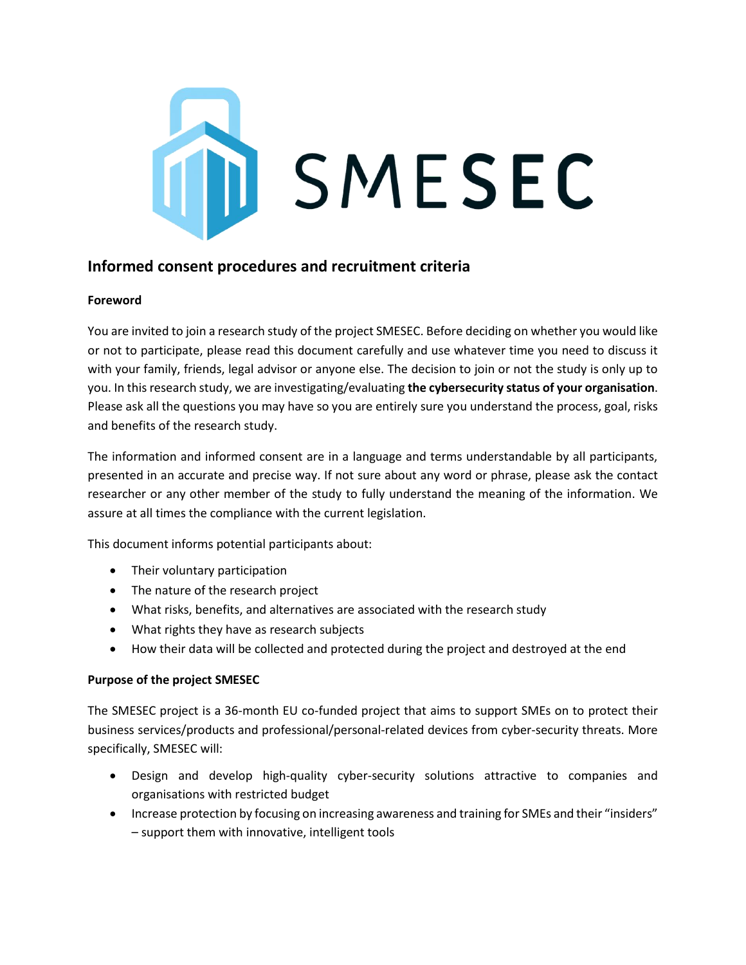

# **Informed consent procedures and recruitment criteria**

# **Foreword**

You are invited to join a research study of the project SMESEC. Before deciding on whether you would like or not to participate, please read this document carefully and use whatever time you need to discuss it with your family, friends, legal advisor or anyone else. The decision to join or not the study is only up to you. In this research study, we are investigating/evaluating **the cybersecurity status of your organisation**. Please ask all the questions you may have so you are entirely sure you understand the process, goal, risks and benefits of the research study.

The information and informed consent are in a language and terms understandable by all participants, presented in an accurate and precise way. If not sure about any word or phrase, please ask the contact researcher or any other member of the study to fully understand the meaning of the information. We assure at all times the compliance with the current legislation.

This document informs potential participants about:

- Their voluntary participation
- The nature of the research project
- What risks, benefits, and alternatives are associated with the research study
- What rights they have as research subjects
- How their data will be collected and protected during the project and destroyed at the end

# **Purpose of the project SMESEC**

The SMESEC project is a 36-month EU co-funded project that aims to support SMEs on to protect their business services/products and professional/personal-related devices from cyber-security threats. More specifically, SMESEC will:

- Design and develop high-quality cyber-security solutions attractive to companies and organisations with restricted budget
- Increase protection by focusing on increasing awareness and training for SMEs and their "insiders" – support them with innovative, intelligent tools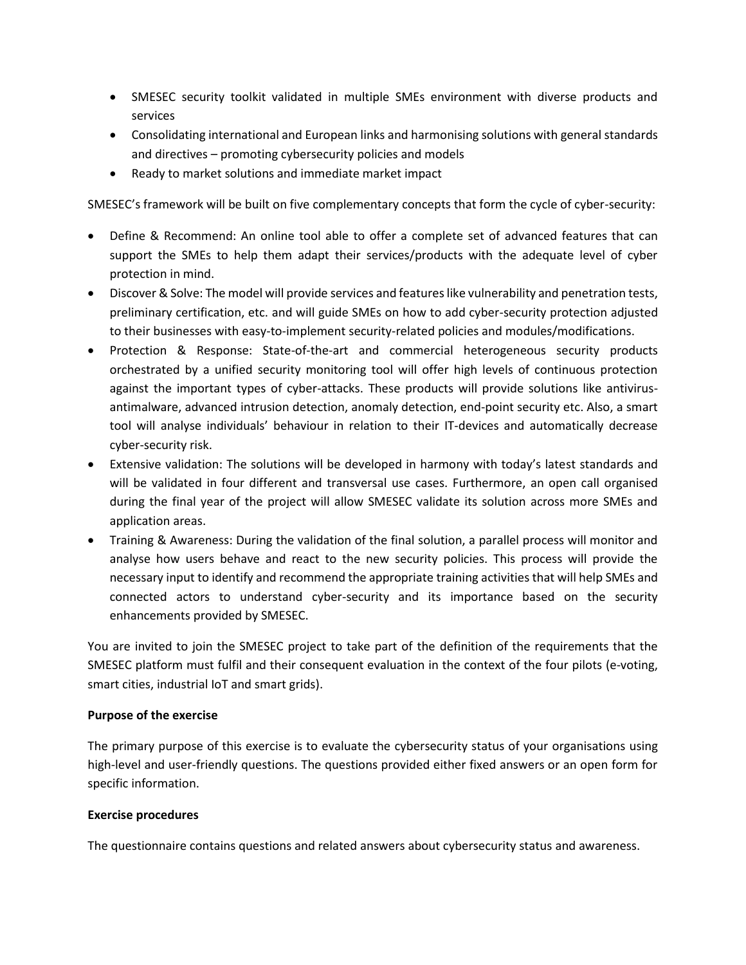- SMESEC security toolkit validated in multiple SMEs environment with diverse products and services
- Consolidating international and European links and harmonising solutions with general standards and directives – promoting cybersecurity policies and models
- Ready to market solutions and immediate market impact

SMESEC's framework will be built on five complementary concepts that form the cycle of cyber-security:

- Define & Recommend: An online tool able to offer a complete set of advanced features that can support the SMEs to help them adapt their services/products with the adequate level of cyber protection in mind.
- Discover & Solve: The model will provide services and features like vulnerability and penetration tests, preliminary certification, etc. and will guide SMEs on how to add cyber-security protection adjusted to their businesses with easy-to-implement security-related policies and modules/modifications.
- Protection & Response: State-of-the-art and commercial heterogeneous security products orchestrated by a unified security monitoring tool will offer high levels of continuous protection against the important types of cyber-attacks. These products will provide solutions like antivirusantimalware, advanced intrusion detection, anomaly detection, end-point security etc. Also, a smart tool will analyse individuals' behaviour in relation to their IT-devices and automatically decrease cyber-security risk.
- Extensive validation: The solutions will be developed in harmony with today's latest standards and will be validated in four different and transversal use cases. Furthermore, an open call organised during the final year of the project will allow SMESEC validate its solution across more SMEs and application areas.
- Training & Awareness: During the validation of the final solution, a parallel process will monitor and analyse how users behave and react to the new security policies. This process will provide the necessary input to identify and recommend the appropriate training activities that will help SMEs and connected actors to understand cyber-security and its importance based on the security enhancements provided by SMESEC.

You are invited to join the SMESEC project to take part of the definition of the requirements that the SMESEC platform must fulfil and their consequent evaluation in the context of the four pilots (e-voting, smart cities, industrial IoT and smart grids).

# **Purpose of the exercise**

The primary purpose of this exercise is to evaluate the cybersecurity status of your organisations using high-level and user-friendly questions. The questions provided either fixed answers or an open form for specific information.

# **Exercise procedures**

The questionnaire contains questions and related answers about cybersecurity status and awareness.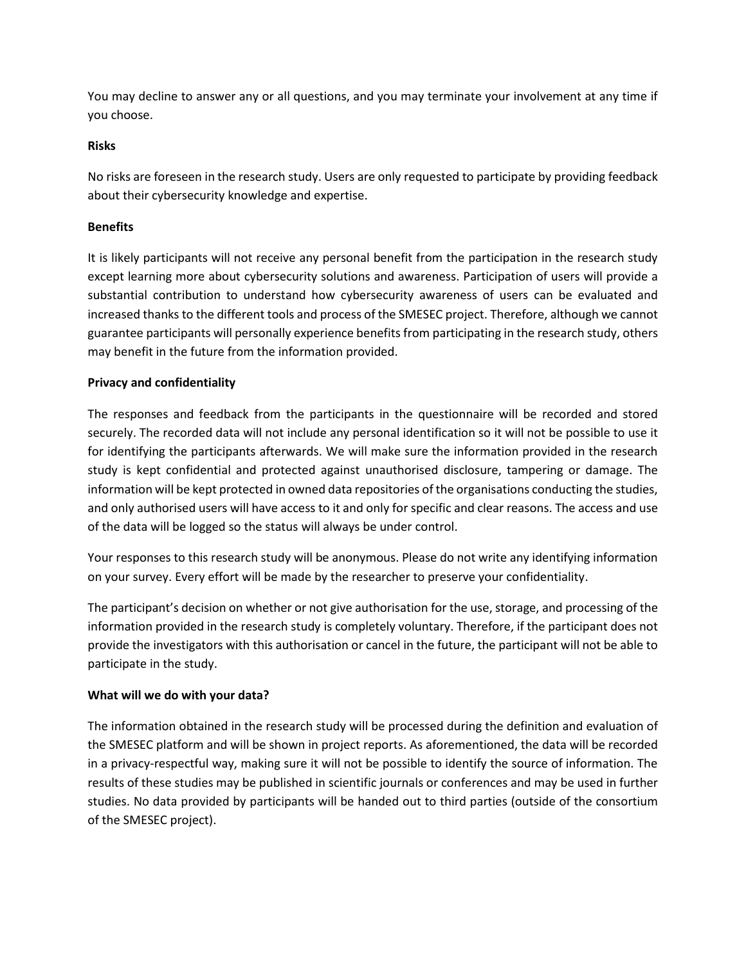You may decline to answer any or all questions, and you may terminate your involvement at any time if you choose.

# **Risks**

No risks are foreseen in the research study. Users are only requested to participate by providing feedback about their cybersecurity knowledge and expertise.

# **Benefits**

It is likely participants will not receive any personal benefit from the participation in the research study except learning more about cybersecurity solutions and awareness. Participation of users will provide a substantial contribution to understand how cybersecurity awareness of users can be evaluated and increased thanks to the different tools and process of the SMESEC project. Therefore, although we cannot guarantee participants will personally experience benefits from participating in the research study, others may benefit in the future from the information provided.

# **Privacy and confidentiality**

The responses and feedback from the participants in the questionnaire will be recorded and stored securely. The recorded data will not include any personal identification so it will not be possible to use it for identifying the participants afterwards. We will make sure the information provided in the research study is kept confidential and protected against unauthorised disclosure, tampering or damage. The information will be kept protected in owned data repositories of the organisations conducting the studies, and only authorised users will have access to it and only for specific and clear reasons. The access and use of the data will be logged so the status will always be under control.

Your responses to this research study will be anonymous. Please do not write any identifying information on your survey. Every effort will be made by the researcher to preserve your confidentiality.

The participant's decision on whether or not give authorisation for the use, storage, and processing of the information provided in the research study is completely voluntary. Therefore, if the participant does not provide the investigators with this authorisation or cancel in the future, the participant will not be able to participate in the study.

# **What will we do with your data?**

The information obtained in the research study will be processed during the definition and evaluation of the SMESEC platform and will be shown in project reports. As aforementioned, the data will be recorded in a privacy-respectful way, making sure it will not be possible to identify the source of information. The results of these studies may be published in scientific journals or conferences and may be used in further studies. No data provided by participants will be handed out to third parties (outside of the consortium of the SMESEC project).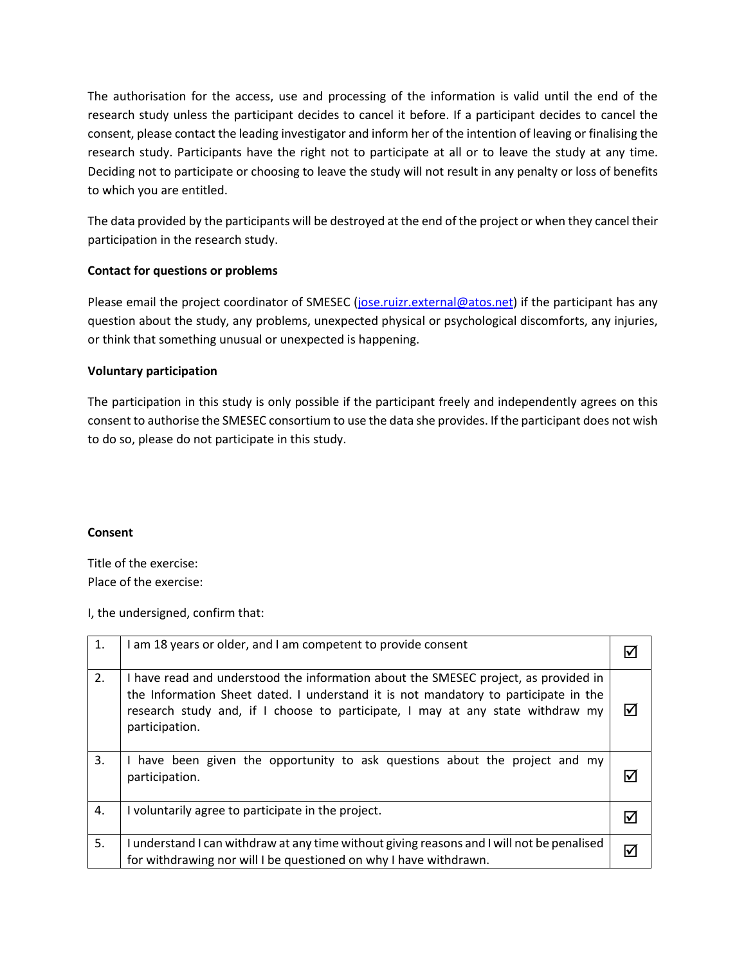The authorisation for the access, use and processing of the information is valid until the end of the research study unless the participant decides to cancel it before. If a participant decides to cancel the consent, please contact the leading investigator and inform her of the intention of leaving or finalising the research study. Participants have the right not to participate at all or to leave the study at any time. Deciding not to participate or choosing to leave the study will not result in any penalty or loss of benefits to which you are entitled.

The data provided by the participants will be destroyed at the end of the project or when they cancel their participation in the research study.

# **Contact for questions or problems**

Please email the project coordinator of SMESEC [\(jose.ruizr.external@atos.net\)](mailto:jose.ruizr.external@atos.net) if the participant has any question about the study, any problems, unexpected physical or psychological discomforts, any injuries, or think that something unusual or unexpected is happening.

# **Voluntary participation**

The participation in this study is only possible if the participant freely and independently agrees on this consent to authorise the SMESEC consortium to use the data she provides. If the participant does not wish to do so, please do not participate in this study.

# **Consent**

Title of the exercise: Place of the exercise:

I, the undersigned, confirm that:

| 1. | I am 18 years or older, and I am competent to provide consent                                                                                                                                                                                                                  |    |
|----|--------------------------------------------------------------------------------------------------------------------------------------------------------------------------------------------------------------------------------------------------------------------------------|----|
| 2. | I have read and understood the information about the SMESEC project, as provided in<br>the Information Sheet dated. I understand it is not mandatory to participate in the<br>research study and, if I choose to participate, I may at any state withdraw my<br>participation. | ☑  |
| 3. | have been given the opportunity to ask questions about the project and my<br>participation.                                                                                                                                                                                    |    |
| 4. | I voluntarily agree to participate in the project.                                                                                                                                                                                                                             | IV |
| 5. | I understand I can withdraw at any time without giving reasons and I will not be penalised<br>for withdrawing nor will I be questioned on why I have withdrawn.                                                                                                                | ☑  |